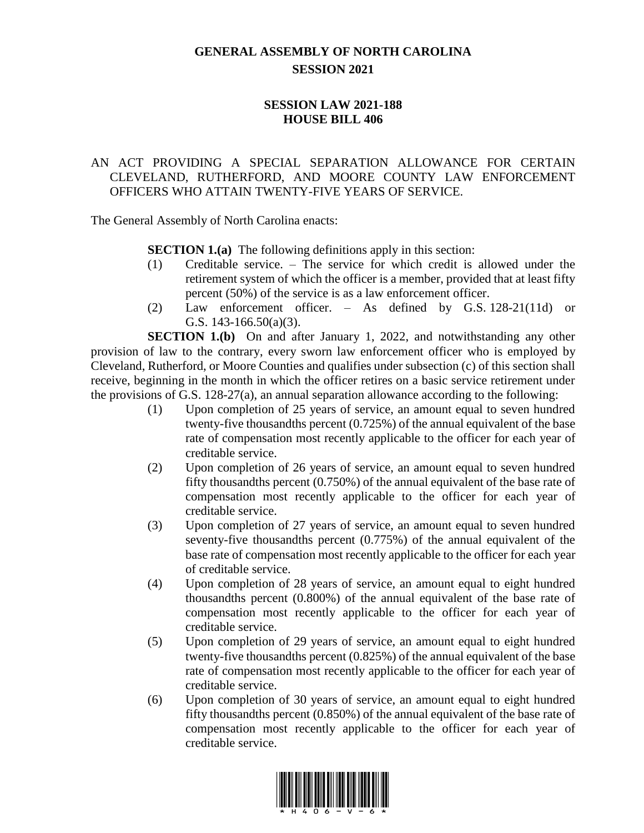## **GENERAL ASSEMBLY OF NORTH CAROLINA SESSION 2021**

## **SESSION LAW 2021-188 HOUSE BILL 406**

## AN ACT PROVIDING A SPECIAL SEPARATION ALLOWANCE FOR CERTAIN CLEVELAND, RUTHERFORD, AND MOORE COUNTY LAW ENFORCEMENT OFFICERS WHO ATTAIN TWENTY-FIVE YEARS OF SERVICE.

The General Assembly of North Carolina enacts:

**SECTION 1.(a)** The following definitions apply in this section:

- (1) Creditable service. The service for which credit is allowed under the retirement system of which the officer is a member, provided that at least fifty percent (50%) of the service is as a law enforcement officer.
- (2) Law enforcement officer. As defined by G.S. 128-21(11d) or G.S. 143-166.50(a)(3).

**SECTION 1.(b)** On and after January 1, 2022, and notwithstanding any other provision of law to the contrary, every sworn law enforcement officer who is employed by Cleveland, Rutherford, or Moore Counties and qualifies under subsection (c) of this section shall receive, beginning in the month in which the officer retires on a basic service retirement under the provisions of G.S. 128-27(a), an annual separation allowance according to the following:

- (1) Upon completion of 25 years of service, an amount equal to seven hundred twenty-five thousandths percent (0.725%) of the annual equivalent of the base rate of compensation most recently applicable to the officer for each year of creditable service.
- (2) Upon completion of 26 years of service, an amount equal to seven hundred fifty thousandths percent (0.750%) of the annual equivalent of the base rate of compensation most recently applicable to the officer for each year of creditable service.
- (3) Upon completion of 27 years of service, an amount equal to seven hundred seventy-five thousandths percent (0.775%) of the annual equivalent of the base rate of compensation most recently applicable to the officer for each year of creditable service.
- (4) Upon completion of 28 years of service, an amount equal to eight hundred thousandths percent (0.800%) of the annual equivalent of the base rate of compensation most recently applicable to the officer for each year of creditable service.
- (5) Upon completion of 29 years of service, an amount equal to eight hundred twenty-five thousandths percent (0.825%) of the annual equivalent of the base rate of compensation most recently applicable to the officer for each year of creditable service.
- (6) Upon completion of 30 years of service, an amount equal to eight hundred fifty thousandths percent (0.850%) of the annual equivalent of the base rate of compensation most recently applicable to the officer for each year of creditable service.

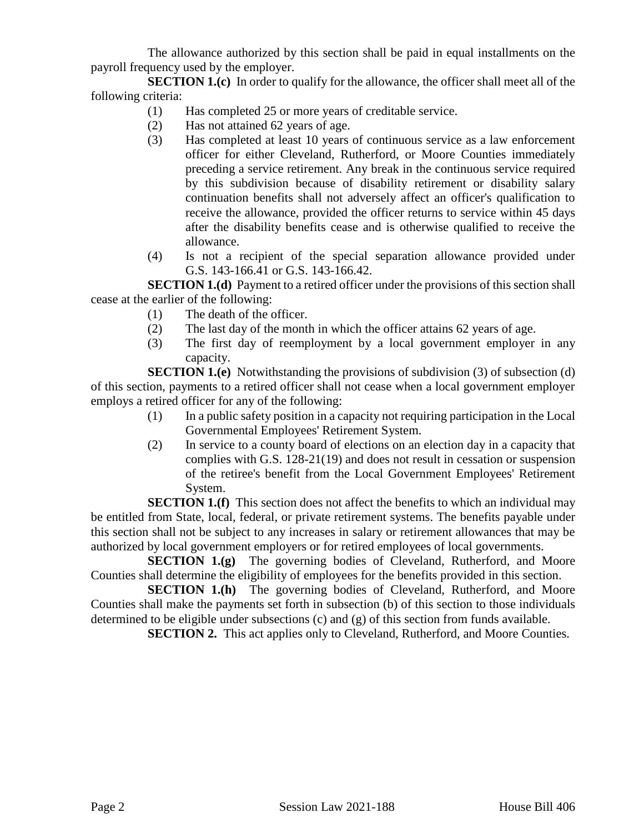The allowance authorized by this section shall be paid in equal installments on the payroll frequency used by the employer.

**SECTION 1.(c)** In order to qualify for the allowance, the officer shall meet all of the following criteria:

- (1) Has completed 25 or more years of creditable service.
- (2) Has not attained 62 years of age.
- (3) Has completed at least 10 years of continuous service as a law enforcement officer for either Cleveland, Rutherford, or Moore Counties immediately preceding a service retirement. Any break in the continuous service required by this subdivision because of disability retirement or disability salary continuation benefits shall not adversely affect an officer's qualification to receive the allowance, provided the officer returns to service within 45 days after the disability benefits cease and is otherwise qualified to receive the allowance.
- (4) Is not a recipient of the special separation allowance provided under G.S. 143-166.41 or G.S. 143-166.42.

**SECTION 1.(d)** Payment to a retired officer under the provisions of this section shall cease at the earlier of the following:

- (1) The death of the officer.
- (2) The last day of the month in which the officer attains 62 years of age.
- (3) The first day of reemployment by a local government employer in any capacity.

**SECTION 1.(e)** Notwithstanding the provisions of subdivision (3) of subsection (d) of this section, payments to a retired officer shall not cease when a local government employer employs a retired officer for any of the following:

- (1) In a public safety position in a capacity not requiring participation in the Local Governmental Employees' Retirement System.
- (2) In service to a county board of elections on an election day in a capacity that complies with G.S. 128-21(19) and does not result in cessation or suspension of the retiree's benefit from the Local Government Employees' Retirement System.

**SECTION 1.(f)** This section does not affect the benefits to which an individual may be entitled from State, local, federal, or private retirement systems. The benefits payable under this section shall not be subject to any increases in salary or retirement allowances that may be authorized by local government employers or for retired employees of local governments.

**SECTION 1.(g)** The governing bodies of Cleveland, Rutherford, and Moore Counties shall determine the eligibility of employees for the benefits provided in this section.

**SECTION 1.(h)** The governing bodies of Cleveland, Rutherford, and Moore Counties shall make the payments set forth in subsection (b) of this section to those individuals determined to be eligible under subsections (c) and (g) of this section from funds available.

**SECTION 2.** This act applies only to Cleveland, Rutherford, and Moore Counties.